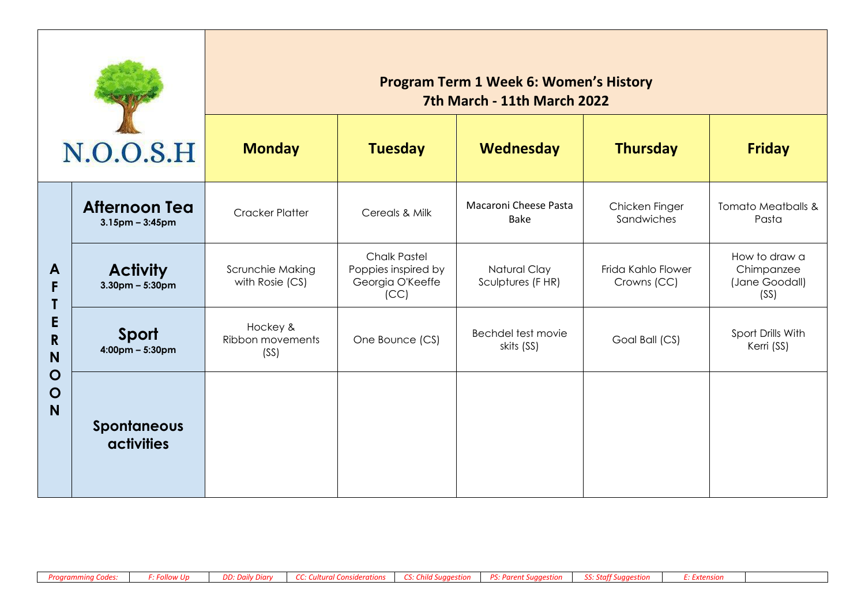| N.O.O.S.H                                                           |                                               | <b>Program Term 1 Week 6: Women's History</b><br>7th March - 11th March 2022<br><b>Monday</b><br><b>Tuesday</b><br><b>Thursday</b><br>Wednesday<br><b>Friday</b> |                                                                        |                                      |                                   |                                                       |  |
|---------------------------------------------------------------------|-----------------------------------------------|------------------------------------------------------------------------------------------------------------------------------------------------------------------|------------------------------------------------------------------------|--------------------------------------|-----------------------------------|-------------------------------------------------------|--|
|                                                                     | <b>Afternoon Tea</b><br>$3.15$ pm – $3:45$ pm | <b>Cracker Platter</b>                                                                                                                                           | Cereals & Milk                                                         | Macaroni Cheese Pasta<br><b>Bake</b> | Chicken Finger<br>Sandwiches      | <b>Tomato Meatballs &amp;</b><br>Pasta                |  |
| A<br>F<br>E<br>$\mathsf{R}$<br>N<br>$\mathbf O$<br>$\mathbf O$<br>N | <b>Activity</b><br>$3.30$ pm – 5:30pm         | Scrunchie Making<br>with Rosie (CS)                                                                                                                              | <b>Chalk Pastel</b><br>Poppies inspired by<br>Georgia O'Keeffe<br>(CC) | Natural Clay<br>Sculptures (FHR)     | Frida Kahlo Flower<br>Crowns (CC) | How to draw a<br>Chimpanzee<br>(Jane Goodall)<br>(SS) |  |
|                                                                     | Sport<br>$4:00 \text{pm} - 5:30 \text{pm}$    | Hockey &<br>Ribbon movements<br>(SS)                                                                                                                             | One Bounce (CS)                                                        | Bechdel test movie<br>skits (SS)     | Goal Ball (CS)                    | Sport Drills With<br>Kerri (SS)                       |  |
|                                                                     | <b>Spontaneous</b><br><b>activities</b>       |                                                                                                                                                                  |                                                                        |                                      |                                   |                                                       |  |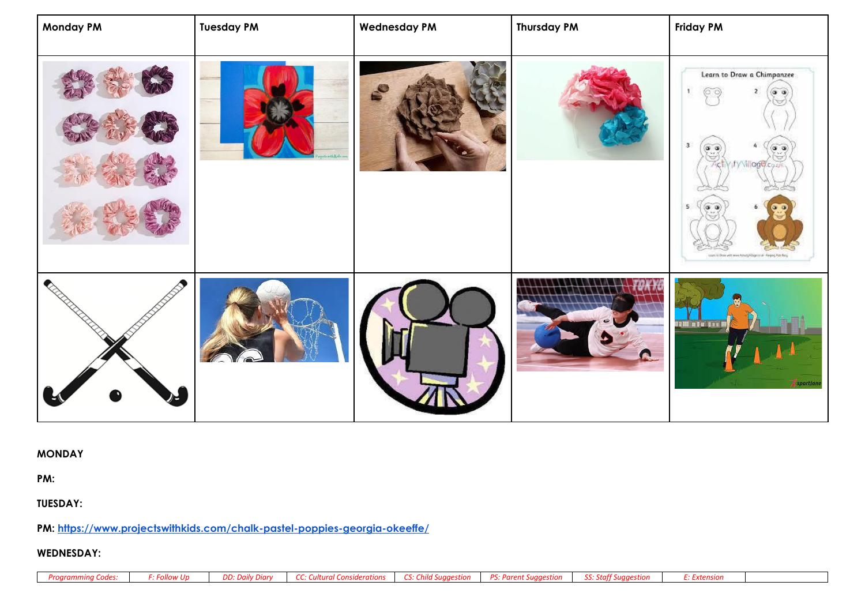| <b>Monday PM</b> | <b>Tuesday PM</b> | <b>Wednesday PM</b> | <b>Thursday PM</b> | <b>Friday PM</b>                                                                                                                                              |
|------------------|-------------------|---------------------|--------------------|---------------------------------------------------------------------------------------------------------------------------------------------------------------|
|                  |                   |                     |                    | Learn to Draw a Chimpanzee<br>3.<br>$\alpha$ $\alpha$<br>o a<br>Yify Village co.<br>(၁) (၁)<br>Learn to Draw with www.httwity/hingercruik - Keeping Kate Bang |
|                  |                   |                     |                    | 1211 afa tu M<br>sportlane                                                                                                                                    |

**MONDAY**

**PM:** 

**TUESDAY:**

**PM:<https://www.projectswithkids.com/chalk-pastel-poppies-georgia-okeeffe/>**

## **WEDNESDAY:**